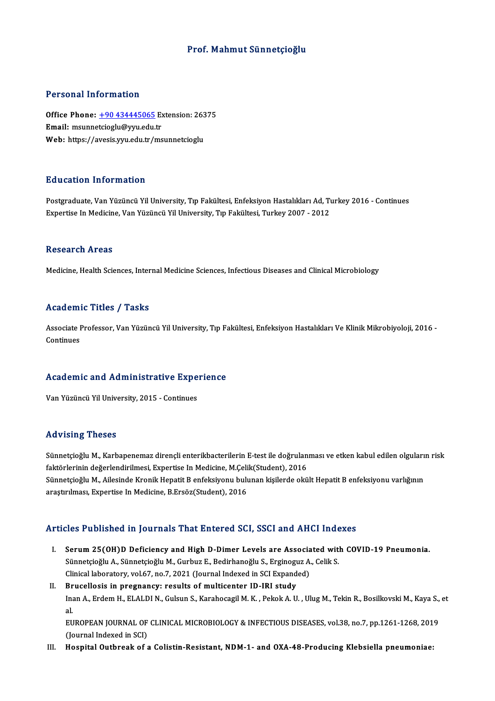# Prof.Mahmut Sünnetçioğlu

## Personal Information

Personal Information<br>Office Phone: <u>+90 434445065</u> Extension: 26375<br>Email: maunnataiogly@uny.edu.tr Processian information<br>Office Phone: <u>+90 434445065</u> Ex<br>Email: msunne[tcioglu@yyu.edu.](tel:+90 434445065)tr Office Phone: <u>+90 434445065</u> Extension: 263<br>Email: msunnetcioglu@yyu.edu.tr<br>Web: https://avesis.yyu.edu.tr/msunnetcioglu Web: https://avesis.yyu.edu.tr/msunnetcioglu<br>Education Information

Postgraduate, Van Yüzüncü Yil University, Tıp Fakültesi, Enfeksiyon Hastalıkları Ad, Turkey 2016 - Continues Expertise In Medicine, Van Yüzüncü Yil University, Tıp Fakültesi, Turkey 2007 - 2012

### Research Areas

Medicine, Health Sciences, Internal Medicine Sciences, Infectious Diseases and Clinical Microbiology

## Academic Titles / Tasks

Academic Titles / Tasks<br>Associate Professor, Van Yüzüncü Yil University, Tıp Fakültesi, Enfeksiyon Hastalıkları Ve Klinik Mikrobiyoloji, 2016 -<br>Continues Associate I<br>Continues

# Academic and Administrative Experience <mark>Academic and Administrative Expe</mark><br>Van Yüzüncü Yil University, 2015 - Continues

Van Yüzüncü Yil University, 2015 - Continues<br>Advising Theses

Sünnetçioğlu M., Karbapenemaz dirençli enterikbacterilerin E-test ile doğrulanması ve etken kabul edilen olguların risk faktörlering i fresses<br>Sünnetçioğlu M., Karbapenemaz dirençli enterikbacterilerin E-test ile doğrulan<br>faktörlerinin değerlendirilmesi, Expertise In Medicine, M.Çelik(Student), 2016<br>Sünnetsieğlu M., Ailesinde Krenik Henstit Sünnetçioğlu M., Ailesinde Kronik Hepatit B enfeksiyonu bulunan kişilerde okült Hepatit B enfeksiyonu varlığının<br>araştırılması, Expertise In Medicine, B.Ersöz(Student), 2016 faktörlerinin değerlendirilmesi, Expertise In Medicine, M.Çeli<br>Sünnetçioğlu M., Ailesinde Kronik Hepatit B enfeksiyonu bulı<br>araştırılması, Expertise In Medicine, B.Ersöz(Student), 2016

# Articles Published in Journals That Entered SCI, SSCI and AHCI Indexes

- I. Serum25(OH)D Deficiency and High D-Dimer Levels are Associated with COVID-19 Pneumonia. SET I HOMOROM IN JOHTMAD THAT BRITIST ON DOST AND THAT THAT<br>Sünnetçioğlu A., Sünnetçioğlu M., Gurbuz E., Bedirhanoğlu S., Erginoguz A., Celik S.<br>Clinical laboratoru vel 67, no.7, 2021 (Journal Indoved in SCI Eunanded) Serum 25(OH)D Deficiency and High D-Dimer Levels are Associa<br>Sünnetçioğlu A., Sünnetçioğlu M., Gurbuz E., Bedirhanoğlu S., Erginoguz A.<br>Clinical laboratory, vol.67, no.7, 2021 (Journal Indexed in SCI Expanded)<br>Prusellogis Sünnetçioğlu A., Sünnetçioğlu M., Gurbuz E., Bedirhanoğlu S., Erginogu<br>Clinical laboratory, vol.67, no.7, 2021 (Journal Indexed in SCI Expand<br>II. Brucellosis in pregnancy: results of multicenter ID-IRI study<br>Inon A. Erdem
- Clinical laboratory, vol.67, no.7, 2021 (Journal Indexed in SCI Expanded)<br>Brucellosis in pregnancy: results of multicenter ID-IRI study<br>Inan A., Erdem H., ELALDI N., Gulsun S., Karahocagil M. K. , Pekok A. U. , Ulug M., Te **Br**<br>Ina<br>ات Inan A., Erdem H., ELALDI N., Gulsun S., Karahocagil M. K. , Pekok A. U. , Ulug M., Tekin R., Bosilkovski M., Kaya S.,<br>al.<br>EUROPEAN JOURNAL OF CLINICAL MICROBIOLOGY & INFECTIOUS DISEASES, vol.38, no.7, pp.1261-1268, 2019<br>( al.<br>EUROPEAN JOURNAL OF<br>(Journal Indexed in SCI)<br>Hoenital Outhreak of c

EUROPEAN JOURNAL OF CLINICAL MICROBIOLOGY & INFECTIOUS DISEASES, vol.38, no.7, pp.1261-1268, 201<br>(Journal Indexed in SCI)<br>III. Hospital Outbreak of a Colistin-Resistant, NDM-1- and OXA-48-Producing Klebsiella pneumonia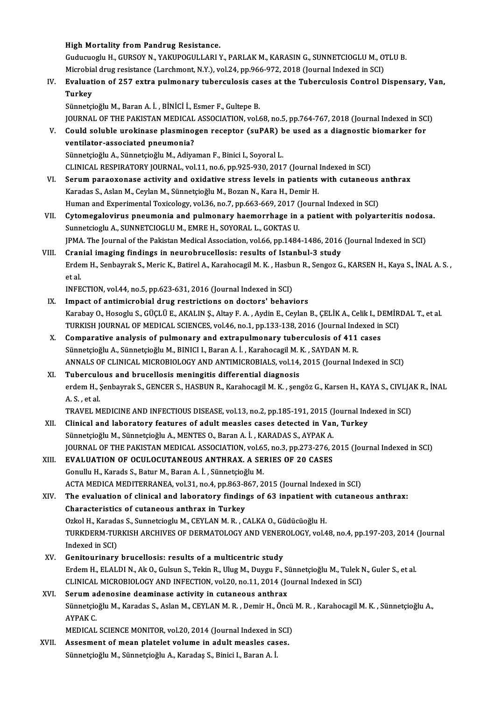High Mortality from Pandrug Resistance.

High Mortality from Pandrug Resistance.<br>Guducuoglu H., GURSOY N., YAKUPOGULLARI Y., PARLAK M., KARASIN G., SUNNETCIOGLU M., OTLU B.<br>Mignabial duus nesistance (Lanabmant N.V.), yol 24 nn 966,972,2018 (Journal Indoved in SCI High Mortality from Pandrug Resistance.<br>Guducuoglu H., GURSOY N., YAKUPOGULLARI Y., PARLAK M., KARASIN G., SUNNETCIOGLU M., O'<br>Microbial drug resistance (Larchmont, N.Y.), vol.24, pp.966-972, 2018 (Journal Indexed in SCI)<br> Guducuoglu H., GURSOY N., YAKUPOGULLARI Y., PARLAK M., KARASIN G., SUNNETCIOGLU M., OTLU B.<br>Microbial drug resistance (Larchmont, N.Y.), vol.24, pp.966-972, 2018 (Journal Indexed in SCI)<br>IV. Evaluation of 257 extra pulmona

Microbia<br><mark>Evaluat</mark><br>Turkey Evaluation of 257 extra pulmonary tuberculosis ca:<br>Turkey<br>Sünnetçioğlu M., Baran A. İ. , BİNİCİ İ., Esmer F., Gultepe B.<br>JOUPNAL OF THE BAKISTAN MEDICAL ASSOCIATION vel 6

Turkey<br>Sünnetçioğlu M., Baran A. İ. , BİNİCİ İ., Esmer F., Gultepe B.<br>JOURNAL OF THE PAKISTAN MEDICAL ASSOCIATION, vol.68, no.5, pp.764-767, 2018 (Journal Indexed in SCI)<br>Could seluble urakinese plasminesen resenter (suBAB Sünnetçioğlu M., Baran A. İ. , BİNİCİ İ., Esmer F., Gultepe B.<br>JOURNAL OF THE PAKISTAN MEDICAL ASSOCIATION, vol.68, no.5, pp.764-767, 2018 (Journal Indexed in SC<br>V. Could soluble urokinase plasminogen receptor (suPAR) be u

- JOURNAL OF THE PAKISTAN MEDICAL<br>Could soluble urokinase plasmino;<br>ventilator-associated pneumonia?<br>Sünnetsioğlu A. Sünnetsioğlu M. Adive Sünnetçioğlu A., Sünnetçioğlu M., Adiyaman F., Binici I., Soyoral L. ventilator-associated pneumonia?<br>Sünnetçioğlu A., Sünnetçioğlu M., Adiyaman F., Binici I., Soyoral L.<br>CLINICAL RESPIRATORY JOURNAL, vol.11, no.6, pp.925-930, 2017 (Journal Indexed in SCI)<br>Serum naraexenase estivity and exi Sünnetçioğlu A., Sünnetçioğlu M., Adiyaman F., Binici I., Soyoral L.<br>CLINICAL RESPIRATORY JOURNAL, vol.11, no.6, pp.925-930, 2017 (Journal Indexed in SCI)<br>VI. Serum paraoxonase activity and oxidative stress levels in patie
- CLINICAL RESPIRATORY JOURNAL, vol.11, no.6, pp.925-930, 2017 (Journal<br>Serum paraoxonase activity and oxidative stress levels in patients<br>Karadas S., Aslan M., Ceylan M., Sünnetçioğlu M., Bozan N., Kara H., Demir H.<br>Human a Serum paraoxonase activity and oxidative stress levels in patients with cutaneous<br>Karadas S., Aslan M., Ceylan M., Sünnetçioğlu M., Bozan N., Kara H., Demir H.<br>Human and Experimental Toxicology, vol.36, no.7, pp.663-669, 2 Karadas S., Aslan M., Ceylan M., Sünnetçioğlu M., Bozan N., Kara H., Demir H.<br>Human and Experimental Toxicology, vol.36, no.7, pp.663-669, 2017 (Journal Indexed in SCI)<br>VII. Cytomegalovirus pneumonia and pulmonary haemorrh
- Human and Experimental Toxicology, vol.36, no.7, pp.663-669, 2017 (<br>Cytomegalovirus pneumonia and pulmonary haemorrhage in<br>Sunnetcioglu A., SUNNETCIOGLU M., EMRE H., SOYORAL L., GOKTAS U.<br>IPMA. The Journal of the Polistan Cytomegalovirus pneumonia and pulmonary haemorrhage in a patient with polyarteritis nodos<br>Sunnetcioglu A., SUNNETCIOGLU M., EMRE H., SOYORAL L., GOKTAS U.<br>JPMA. The Journal of the Pakistan Medical Association, vol.66, pp.1 Sunnetcioglu A., SUNNETCIOGLU M., EMRE H., SOYORAL L., GOKTAS U.<br>JPMA. The Journal of the Pakistan Medical Association, vol.66, pp.1484-1486, 2016 (Journal Indexed in SCI)<br>VIII. Cranial imaging findings in neurobrucell
- JPMA. The Journal of the Pakistan Medical Association, vol.66, pp.1484-1486, 2016 (Journal Indexed in SCI)<br>Cranial i<mark>maging findings in neurobrucellosis: results of Istanbul-3 study</mark><br>Erdem H., Senbayrak S., Meric K., Batir Cran<br>Erde<br>et al.<br>INEE Erdem H., Senbayrak S., Meric K., Batirel A., Karahocagil M. K. , Hasbu<br>et al.<br>INFECTION, vol.44, no.5, pp.623-631, 2016 (Journal Indexed in SCI)<br>Impect of antimicrobial drug restrictions on destars' behavi et al.<br>INFECTION, vol.44, no.5, pp.623-631, 2016 (Journal Indexed in SCI)<br>IX. Impact of antimicrobial drug restrictions on doctors' behaviors

- INFECTION, vol.44, no.5, pp.623-631, 2016 (Journal Indexed in SCI)<br>I<mark>mpact of antimicrobial drug restrictions on doctors' behaviors</mark><br>Karabay O., Hosoglu S., GÜÇLÜ E., AKALIN Ş., Altay F. A. , Aydin E., Ceylan B., ÇELİK A., Impact of antimicrobial drug restrictions on doctors' behaviors<br>Karabay O., Hosoglu S., GÜÇLÜ E., AKALIN Ş., Altay F. A. , Aydin E., Ceylan B., ÇELİK A., Celik I., DEMİR<br>TURKISH JOURNAL OF MEDICAL SCIENCES, vol.46, no.1, p Karabay O., Hosoglu S., GÜÇLÜ E., AKALIN Ş., Altay F. A., Aydin E., Ceylan B., ÇELİK A., Celik I., D<br>TURKISH JOURNAL OF MEDICAL SCIENCES, vol.46, no.1, pp.133-138, 2016 (Journal Indexed in<br>X. Comparative analysis of pulmon
- TURKISH JOURNAL OF MEDICAL SCIENCES, vol.46, no.1, pp.133-138, 2016 (Journal Indexed in SCI)<br>X. Comparative analysis of pulmonary and extrapulmonary tuberculosis of 411 cases ANNALS OF CLINICAL MICROBIOLOGY AND ANTIMICROBIALS, vol.14, 2015 (Journal Indexed in SCI)<br>Tuberculous and brucellosis meningitis differential diagnosis Sünnetçioğlu A., Sünnetçioğlu M., BINICI I., Baran A. İ. , Karahocagil M. K. , SAYDAN M. R.<br>ANNALS OF CLINICAL MICROBIOLOGY AND ANTIMICROBIALS, vol.14, 2015 (Journal In<br>XI. Tuberculous and brucellosis meningitis differ

ANNALS OF CLINICAL MICROBIOLOGY AND ANTIMICROBIALS, vol.14, 2015 (Journal Indexed in SCI)<br>Tuberculous and brucellosis meningitis differential diagnosis<br>erdem H., Şenbayrak S., GENCER S., HASBUN R., Karahocagil M. K. , şeng Tuberculo<br>erdem H., <u>{</u><br>A. S. , et al.<br>TRAVEL M erdem H., Şenbayrak S., GENCER S., HASBUN R., Karahocagil M. K. , şengöz G., Karsen H., KAYA S., CIVLJA<br>A. S. , et al.<br>TRAVEL MEDICINE AND INFECTIOUS DISEASE, vol.13, no.2, pp.185-191, 2015 (Journal Indexed in SCI)<br>Clinica

- A. S. , et al.<br>TRAVEL MEDICINE AND INFECTIOUS DISEASE, vol.13, no.2, pp.185-191, 2015 (Journal Ind<br>XII. Clinical and laboratory features of adult measles cases detected in Van, Turkey<br>Sünnetsioğlu M. Sünnetsioğlu A. MENTES TRAVEL MEDICINE AND INFECTIOUS DISEASE, vol.13, no.2, pp.185-191, 2015 (J<br>Clinical and laboratory features of adult measles cases detected in Var<br>Sünnetçioğlu M., Sünnetçioğlu A., MENTES O., Baran A. İ. , KARADAS S., AYPAK Sünnetçioğlu M., Sünnetçioğlu A., MENTES O., Baran A. İ. , KARADAS S., AYPAK A.<br>JOURNAL OF THE PAKISTAN MEDICAL ASSOCIATION, vol.65, no.3, pp.273-276, 2015 (Journal Indexed in SCI) Sünnetçioğlu M., Sünnetçioğlu A., MENTES O., Baran A. İ., KARADAS S., AYPAK A.<br>JOURNAL OF THE PAKISTAN MEDICAL ASSOCIATION, vol.65, no.3, pp.273-276, 2<br>XIII. EVALUATION OF OCULOCUTANEOUS ANTHRAX. A SERIES OF 20 CASES
- JOURNAL OF THE PAKISTAN MEDICAL ASSOCIATION, vol.6!<br>EVALUATION OF OCULOCUTANEOUS ANTHRAX. A SE<br>Gonullu H., Karads S., Batur M., Baran A. İ. , Sünnetçioğlu M.<br>ACTA MEDICA MEDITERRANEA vol.31. no.4. np.963.967.2 Gonullu H., Karads S., Batur M., Baran A. İ. , Sünnetçioğlu M.<br>ACTA MEDICA MEDITERRANEA, vol.31, no.4, pp.863-867, 2015 (Journal Indexed in SCI) Gonullu H., Karads S., Batur M., Baran A. İ. , Sünnetçioğlu M.<br>ACTA MEDICA MEDITERRANEA, vol.31, no.4, pp.863-867, 2015 (Journal Indexed in SCI)<br>XIV. The evaluation of clinical and laboratory findings of 63 inpatient w
- ACTA MEDICA MEDITERRANEA, vol.31, no.4, pp.863-8<br>The evaluation of clinical and laboratory finding<br>Characteristics of cutaneous anthrax in Turkey The evaluation of clinical and laboratory findings of 63 inpatient wit<br>Characteristics of cutaneous anthrax in Turkey<br>Ozkol H., Karadas S., Sunnetcioglu M., CEYLAN M. R. , CALKA O., Güdücüoğlu H.<br>TURKDERM TURKISH ARCHIVES Characteristics of cutaneous anthrax in Turkey<br>Ozkol H., Karadas S., Sunnetcioglu M., CEYLAN M. R. , CALKA O., Güdücüoğlu H.<br>TURKDERM-TURKISH ARCHIVES OF DERMATOLOGY AND VENEROLOGY, vol.48, no.4, pp.197-203, 2014 (Journal Ozkol H., Karada<br>TURKDERM-TUI<br>Indexed in SCI)<br>Conitourinouv TURKDERM-TURKISH ARCHIVES OF DERMATOLOGY AND VENER<br>Indexed in SCI)<br>XV. Genitourinary brucellosis: results of a multicentric study<br>Frdem H. ELALDIN, Alt O. Gulaun S. Tekin B. Hug M. Duygu E.
- Indexed in SCI)<br>Genitourinary brucellosis: results of a multicentric study<br>Erdem H., ELALDI N., Ak O., Gulsun S., Tekin R., Ulug M., Duygu F., Sünnetçioğlu M., Tulek N., Guler S., et al<br>CLINICAL MICRORIOLOCY AND INEECTION Genitourinary brucellosis: results of a multicentric study<br>Erdem H., ELALDI N., Ak O., Gulsun S., Tekin R., Ulug M., Duygu F., Sünnetçioğlu M., Tulek N.<br>CLINICAL MICROBIOLOGY AND INFECTION, vol.20, no.11, 2014 (Journal Ind Erdem H., ELALDI N., Ak O., Gulsun S., Tekin R., Ulug M., Duygu F., S.<br>CLINICAL MICROBIOLOGY AND INFECTION, vol.20, no.11, 2014 (Jc<br>XVI. Serum adenosine deaminase activity in cutaneous anthrax<br>Sünnetsioğlu M. Karadas S. As

# CLINICAL MICROBIOLOGY AND INFECTION, vol.20, no.11, 2014 (Journal Indexed in SCI)<br>Serum adenosine deaminase activity in cutaneous anthrax<br>Sünnetçioğlu M., Karadas S., Aslan M., CEYLAN M. R. , Demir H., Öncü M. R. , Karahoc S<mark>erum a</mark><br>Sünnetçio<br>AYPAK C.<br>MEDICAL Sünnetçioğlu M., Karadas S., Aslan M., CEYLAN M. R. , Demir H., Öncü<br>AYPAK C.<br>MEDICAL SCIENCE MONITOR, vol.20, 2014 (Journal Indexed in SCI)<br>Assesment of mean platalet volume in adult measles sasse AYPAK C.<br>MEDICAL SCIENCE MONITOR, vol.20, 2014 (Journal Indexed in SCI)<br>XVII. Assesment of mean platelet volume in adult measles cases.

- 
- Sünnetçioğlu M., Sünnetçioğlu A., Karadaş S., Binici I., Baran A. İ.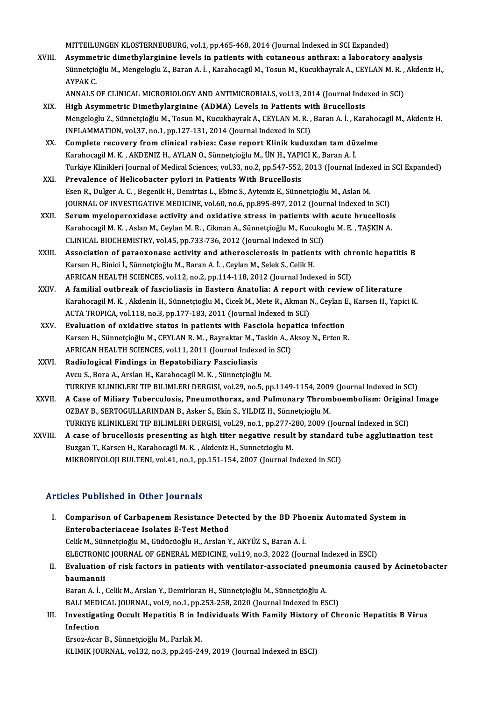MITTEILUNGEN KLOSTERNEUBURG, vol.1, pp.465-468, 2014 (Journal Indexed in SCI Expanded)

MITTEILUNGEN KLOSTERNEUBURG, vol.1, pp.465-468, 2014 (Journal Indexed in SCI Expanded)<br>XVIII. Asymmetric dimethylarginine levels in patients with cutaneous anthrax: a laboratory analysis<br>Sünnstsieğlu M. Mongeleglu Z. Beren MITTEILUNGEN KLOSTERNEUBURG, vol.1, pp.465-468, 2014 (Journal Indexed in SCI Expanded)<br>Asymmetric dimethylarginine levels in patients with cutaneous anthrax: a laboratory analysis<br>Sünnetçioğlu M., Mengeloglu Z., Baran A. İ Asymme<br>Sünnetçio<br>AYPAK C. Sünnetçioğlu M., Mengeloglu Z., Baran A. İ. , Karahocagil M., Tosun M., Kucukbayrak A., CEYLAN M. R. , Akdeniz H.,<br>AYPAK C.<br>ANNALS OF CLINICAL MICROBIOLOGY AND ANTIMICROBIALS, vol.13, 2014 (Journal Indexed in SCI)

- XIX. High Asymmetric Dimethylarginine (ADMA) Levels in Patients with Brucellosis ANNALS OF CLINICAL MICROBIOLOGY AND ANTIMICROBIALS, vol.13, 2014 (Journal Indexed in SCI)<br>High Asymmetric Dimethylarginine (ADMA) Levels in Patients with Brucellosis<br>Mengeloglu Z., Sünnetçioğlu M., Tosun M., Kucukbayrak A. High Asymmetric Dimethylarginine (ADMA) Levels in Patients with<br>Mengeloglu Z., Sünnetçioğlu M., Tosun M., Kucukbayrak A., CEYLAN M. R.,<br>INFLAMMATION, vol.37, no.1, pp.127-131, 2014 (Journal Indexed in SCI)<br>Complete resover INFLAMMATION, vol.37, no.1, pp.127-131, 2014 (Journal Indexed in SCI)<br>XX. Complete recovery from clinical rabies: Case report Klinik kuduzdan tam düzelme
- INFLAMMATION, vol.37, no.1, pp.127-131, 2014 (Journal Indexed in SCI)<br>Complete recovery from clinical rabies: Case report Klinik kuduzdan tam dü:<br>Karahocagil M. K. , AKDENIZ H., AYLAN O., Sünnetçioğlu M., ÜN H., YAPICI K., Turkiye Klinikleri Journal of Medical Sciences, vol.33, no.2, pp.547-552, 2013 (Journal Indexed in SCI Expanded)<br>Prevalence of Helicobacter pylori in Patients With Brucellosis Karahocagil M. K. , AKDENIZ H., AYLAN O., Sünnetçioğlu M., ÜN H., YAPI<br>Turkiye Klinikleri Journal of Medical Sciences, vol.33, no.2, pp.547-552,<br>XXI. Prevalence of Helicobacter pylori in Patients With Brucellosis
- EsenR.,DulgerA.C. ,BegenikH.,Demirtas L.,Ebinc S.,AytemizE.,SünnetçioğluM.,AslanM. Prevalence of Helicobacter pylori in Patients With Brucellosis<br>Esen R., Dulger A. C. , Begenik H., Demirtas L., Ebinc S., Aytemiz E., Sünnetçioğlu M., Aslan M.<br>JOURNAL OF INVESTIGATIVE MEDICINE, vol.60, no.6, pp.895-897, 2 Esen R., Dulger A. C., Begenik H., Demirtas L., Ebinc S., Aytemiz E., Sünnetçioğlu M., Aslan M.<br>JOURNAL OF INVESTIGATIVE MEDICINE, vol.60, no.6, pp.895-897, 2012 (Journal Indexed in SCI)<br>XXII. Serum myeloperoxidase activit
- JOURNAL OF INVESTIGATIVE MEDICINE, vol.60, no.6, pp.895-897, 2012 (Journal Indexed in SCI)<br>Serum myeloperoxidase activity and oxidative stress in patients with acute brucellosi:<br>Karahocagil M. K. , Aslan M., Ceylan M. R. , Serum myeloperoxidase activity and oxidative stress in patients with<br>Karahocagil M. K. , Aslan M., Ceylan M. R. , Cikman A., Sünnetçioğlu M., Kucuko;<br>CLINICAL BIOCHEMISTRY, vol.45, pp.733-736, 2012 (Journal Indexed in SCI) Karahocagil M. K. , Aslan M., Ceylan M. R. , Cikman A., Sünnetçioğlu M., Kucukoglu M. E. , TAŞKIN A.<br>CLINICAL BIOCHEMISTRY, vol.45, pp.733-736, 2012 (Journal Indexed in SCI)<br>XXIII. Association of paraoxonase activity and a
- CLINICAL BIOCHEMISTRY, vol.45, pp.733-736, 2012 (Journal Indexed in SCI)<br>Association of paraoxonase activity and atherosclerosis in patients with chronic hepatitis B<br>Karsen H., Binici İ., Sünnetçioğlu M., Baran A. İ. , Cey AFRICAN HEALTH SCIENCES, vol.12, no.2, pp.114-118, 2012 (Journal Indexed in SCI)
- XXIV. A familial outbreak of fascioliasis in Eastern Anatolia: A report with review of literature Karahocagil M.K., Akdenin H., Sünnetçioğlu M., Cicek M., Mete R., Akman N., Ceylan E., Karsen H., Yapici K. ACTA TROPICA, vol.118, no.3, pp.177-183, 2011 (Journal Indexed in SCI)
- XXV. Evaluation of oxidative status in patients with Fasciola hepatica infection ACTA TROPICA, vol.118, no.3, pp.177-183, 2011 (Journal Indexed in SCI)<br>Evaluation of oxidative status in patients with Fasciola hepatica infection<br>Karsen H., Sünnetçioğlu M., CEYLAN R. M. , Bayraktar M., Taskin A., Aksoy N Evaluation of oxidative status in patients with Fasciola hepa<br>Karsen H., Sünnetçioğlu M., CEYLAN R. M. , Bayraktar M., Taskin A., A<br>AFRICAN HEALTH SCIENCES, vol.11, 2011 (Journal Indexed in SCI)<br>Padiological Eindings in Ha Karsen H., Sünnetçioğlu M., CEYLAN R. M. , Bayraktar M., T<br>AFRICAN HEALTH SCIENCES, vol.11, 2011 (Journal Index<br>XXVI. Radiological Findings in Hepatobiliary Fascioliasis<br>Avgu S. Bore A. Arclan H. Karabogazil M. K. Sünnetgi
- AFRICAN HEALTH SCIENCES, vol.11, 2011 (Journal Indexed in SCI)<br>Radiological Findings in Hepatobiliary Fascioliasis<br>Avcu S., Bora A., Arslan H., Karahocagil M. K. , Sünnetçioğlu M. Radiological Findings in Hepatobiliary Fascioliasis<br>Avcu S., Bora A., Arslan H., Karahocagil M. K. , Sünnetçioğlu M.<br>TURKIYE KLINIKLERI TIP BILIMLERI DERGISI, vol.29, no.5, pp.1149-1154, 2009 (Journal Indexed in SCI)<br>A Gos Avcu S., Bora A., Arslan H., Karahocagil M. K. , Sünnetçioğlu M.<br>TURKIYE KLINIKLERI TIP BILIMLERI DERGISI, vol.29, no.5, pp.1149-1154, 2009 (Journal Indexed in SCI)<br>XXVII. A Case of Miliary Tuberculosis, Pneumothorax,
- TURKIYE KLINIKLERI TIP BILIMLERI DERGISI, vol.29, no.5, pp.1149-1154, 2009<br>A Case of Miliary Tuberculosis, Pneumothorax, and Pulmonary Throm<br>OZBAY B., SERTOGULLARINDAN B., Asker S., Ekin S., YILDIZ H., Sünnetçioğlu M.<br>TURK A Case of Miliary Tuberculosis, Pneumothorax, and Pulmonary Thromboembolism: Origina<br>OZBAY B., SERTOGULLARINDAN B., Asker S., Ekin S., YILDIZ H., Sünnetçioğlu M.<br>TURKIYE KLINIKLERI TIP BILIMLERI DERGISI, vol.29, no.1, pp.2 OZBAY B., SERTOGULLARINDAN B., Asker S., Ekin S., YILDIZ H., Sünnetçioğlu M.<br>TURKIYE KLINIKLERI TIP BILIMLERI DERGISI, vol.29, no.1, pp.277-280, 2009 (Journal Indexed in SCI)<br>XXVIII. A case of brucellosis presenting as hig
- TURKIYE KLINIKLERI TIP BILIMLERI DERGISI, vol.29, no.1, pp.277-2<br>A case of brucellosis presenting as high titer negative result<br>Buzgan T., Karsen H., Karahocagil M. K. , Akdeniz H., Sunnetcioglu M.<br>MIKROBIXOLOU BULTENI vol A case of brucellosis presenting as high titer negative result by standard<br>Buzgan T., Karsen H., Karahocagil M. K. , Akdeniz H., Sunnetcioglu M.<br>MIKROBIYOLOJI BULTENI, vol.41, no.1, pp.151-154, 2007 (Journal Indexed in SCI MIKROBIYOLOJI BULTENI, vol.41, no.1, pp.151-154, 2007 (Journal Indexed in SCI)<br>Articles Published in Other Journals

rticles Published in Other Journals<br>I. Comparison of Carbapenem Resistance Detected by the BD Phoenix Automated System in<br>Enterebecteriaceae Joelates E Test Method Entero I absistica in Street Joannais<br>Comparison of Carbapenem Resistance Dete<br>Enterobacteriaceae Isolates E-Test Method Comparison of Carbapenem Resistance Detected by the BD Pho<br>Enterobacteriaceae Isolates E-Test Method<br>Celik M., Sünnetçioğlu M., Güdücüoğlu H., Arslan Y., AKYÜZ S., Baran A. İ.<br>ELECTRONIC JOURNAL OF CENERAL MEDICINE vol.19, Enterobacteriaceae Isolates E-Test Method<br>Celik M., Sünnetçioğlu M., Güdücüoğlu H., Arslan Y., AKYÜZ S., Baran A. İ.<br>ELECTRONIC JOURNAL OF GENERAL MEDICINE, vol.19, no.3, 2022 (Journal Indexed in ESCI)<br>Evoluation of risk f Celik M., Sünnetçioğlu M., Güdücüoğlu H., Arslan Y., AKYÜZ S., Baran A. İ.<br>ELECTRONIC JOURNAL OF GENERAL MEDICINE, vol.19, no.3, 2022 (Journal Indexed in ESCI)<br>II. Evaluation of risk factors in patients with ventilator-ass ELECTRON<br>Evaluation<br>baumannii<br><sup>Poron A</sub> i</sup> Bvaluation of risk factors in patients with ventilator-associated pneu<br>baumannii<br>Baran A. İ. , Celik M., Arslan Y., Demirkıran H., Sünnetçioğlu M., Sünnetçioğlu A.<br>BALLMEDICAL JOUPNAL .val.9, ne.1, nn.252,259,2020 (Journal

<mark>baumannii</mark><br>Baran A. İ. , Celik M., Arslan Y., Demirkıran H., Sünnetçioğlu M., Sünnetçioğlu A.<br>BALI MEDICAL JOURNAL, vol.9, no.1, pp.253-258, 2020 (Journal Indexed in ESCI)<br>Investisating Qesult Henatitis B. in Individuale Baran A. İ. , Celik M., Arslan Y., Demirkıran H., Sünnetçioğlu M., Sünnetçioğlu A.<br>BALI MEDICAL JOURNAL, vol.9, no.1, pp.253-258, 2020 (Journal Indexed in ESCI)<br>III. Investigating Occult Hepatitis B in Individuals With Fam

BALI MEDI<br>Investigat<br>Infection<br>Eneer Acer Investigating Occult Hepatitis B in In<br>Infection<br>Ersoz-Acar B., Sünnetçioğlu M., Parlak M.<br>ELIMIE IOUPNAL 179122. no 2. np.345.24

Infection<br>Ersoz-Acar B., Sünnetçioğlu M., Parlak M.<br>KLIMIK JOURNAL, vol.32, no.3, pp.245-249, 2019 (Journal Indexed in ESCI)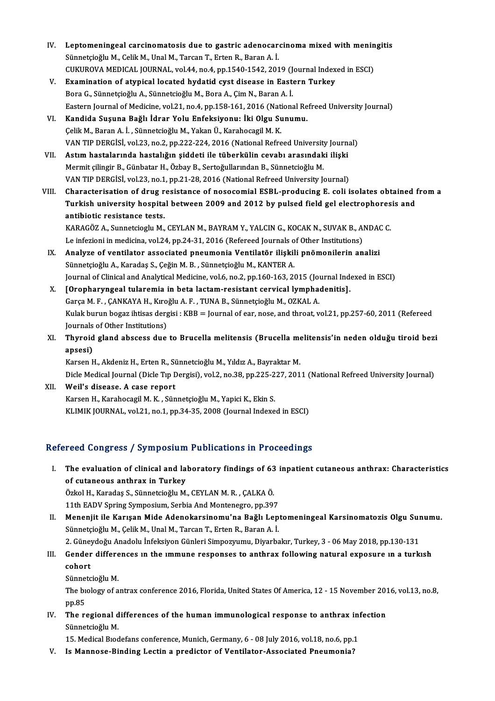- IV. Leptomeningeal carcinomatosis due to gastric adenocarcinoma mixed with meningitis<br>Sünnstsieğlu M. Colik M. Unal M. Tarsen T. Erten B. Parsen A. İ Leptomeningeal carcinomatosis due to gastric adenocare<br>Sünnetçioğlu M., Celik M., Unal M., Tarcan T., Erten R., Baran A. İ.<br>CUKUROVA MEDICAL JOURNAL, vol.44, no.4, nn.1540,1542,201 Leptomeningeal carcinomatosis due to gastric adenocarcinoma mixed with menin<br>Sünnetçioğlu M., Celik M., Unal M., Tarcan T., Erten R., Baran A. İ.<br>CUKUROVA MEDICAL JOURNAL, vol.44, no.4, pp.1540-1542, 2019 (Journal Indexed CUKUROVA MEDICAL JOURNAL, vol.44, no.4, pp.1540-1542, 2019 (Journal Indexed in ESCI)
- Sünnetçioğlu M., Celik M., Unal M., Tarcan T., Erten R., Baran A. İ.<br>CUKUROVA MEDICAL JOURNAL, vol.44, no.4, pp.1540-1542, 2019 (Journal Index<br>V. Examination of atypical located hydatid cyst disease in Eastern Turkey<br>Bora Eastern Journal of Medicine, vol.21, no.4, pp.158-161, 2016 (National Refreed University Journal) Bora G., Sünnetçioğlu A., Sünnetcioğlu M., Bora A., Çim N., Baran A. İ.<br>Eastern Journal of Medicine, vol.21, no.4, pp.158-161, 2016 (National Re<br>VI. Kandida Suşuna Bağlı İdrar Yolu Enfeksiyonu: İki Olgu Sunumu.<br>Celik M. Ba
- Eastern Journal of Medicine, vol.21, no.4, pp.158-161, 2016 (National dialeristional Barana Bağlı İdrar Yolu Enfeksiyonu: İki Olgu Su<br>Çelik M., Baran A. İ. , Sünnetcioğlu M., Yakan Ü., Karahocagil M. K.<br>VAN TIP DEPCİSİ, vo Çelik M., Baran A. İ. , Sünnetcioğlu M., Yakan Ü., Karahocagil M. K.<br>VAN TIP DERGİSİ, vol.23, no.2, pp.222-224, 2016 (National Refreed University Journal) Çelik M., Baran A. İ. , Sünnetcioğlu M., Yakan Ü., Karahocagil M. K.<br>VAN TIP DERGİSİ, vol.23, no.2, pp.222-224, 2016 (National Refreed University Journa<br>VII. Astım hastalarında hastalığın şiddeti ile tüberkülin cevabı aras
- VAN TIP DERGİSİ, vol.23, no.2, pp.222-224, 2016 (National Refreed University<br>Astım hastalarında hastalığın şiddeti ile tüberkülin cevabı arasındak<br>Mermit çilingir B., Günbatar H., Özbay B., Sertoğullarından B., Sünnetcioğl Astım hastalarında hastalığın şiddeti ile tüberkülin cevabı arasındaki ilişki<br>Mermit çilingir B., Günbatar H., Özbay B., Sertoğullarından B., Sünnetcioğlu M.<br>VAN TIP DERGİSİ, vol.23, no.1, pp.21-28, 2016 (National Refreed Mermit çilingir B., Günbatar H., Özbay B., Sertoğullarından B., Sünnetcioğlu M.<br>1. VAN TIP DERGİSİ, vol.23, no.1, pp.21-28, 2016 (National Refreed University Journal)<br>1. VIII. Characterisation of drug resistance of noso
- VAN TIP DERGISI, vol.23, no.1, pp.21-28, 2016 (National Refreed University Journal)<br>Characterisation of drug resistance of nosocomial ESBL-producing E. coli isolates obtained f<br>Turkish university hospital between 2009 and Characterisation of drug r<br>Turkish university hospita<br>antibiotic resistance tests.<br>KARACÖZA Sunnetsiaglu M Turkish university hospital between 2009 and 2012 by pulsed field gel electrophores<br>antibiotic resistance tests.<br>KARAGÖZ A., Sunnetcioglu M., CEYLAN M., BAYRAM Y., YALCIN G., KOCAK N., SUVAK B., ANDAC C.<br>Le inferioni in me

antibiotic resistance tests.<br>KARAGÖZ A., Sunnetcioglu M., CEYLAN M., BAYRAM Y., YALCIN G., KOCAK N., SUVAK B., ANDAC C.<br>Le infezioni in medicina, vol.24, pp.24-31, 2016 (Refereed Journals of Other Institutions)

- IX. Analyze of ventilator associated pneumonia Ventilatör ilişkili pnömonilerin analizi Sünnetçioğlu A., Karadaş S., Çeğin M. B., Sünnetçioğlu M., KANTER A. Analyze of ventilator associated pneumonia Ventilatör ilişkili pnömonilerin analizi<br>Sünnetçioğlu A., Karadaş S., Çeğin M. B. , Sünnetçioğlu M., KANTER A.<br>Journal of Clinical and Analytical Medicine, vol.6, no.2, pp.160-163 Sünnetçioğlu A., Karadaş S., Çeğin M. B. , Sünnetçioğlu M., KANTER A.<br>Journal of Clinical and Analytical Medicine, vol.6, no.2, pp.160-163, 2015 (Journal Ind.<br>X. [Oropharyngeal tularemia in beta lactam-resistant cervical l
- Journal of Clinical and Analytical Medicine, vol.6, no.2, pp.160-163, 2015 (Journal of Clinical and Analytical Medicine, vol.6, no.2, pp.160-163, 2015 (Journal Information Correct Communist<br>Garça M. F. , ÇANKAYA H., Kıroğl [Oropharyngeal tularemia in beta lactam-resistant cervical lymphadenitis].<br>Garça M. F. , ÇANKAYA H., Kıroğlu A. F. , TUNA B., Sünnetçioğlu M., OZKAL A.<br>Kulak burun bogaz ihtisas dergisi : KBB = Journal of ear, nose, and th Garça M. F. , ÇANKAYA H., Kıro<br>Kulak burun bogaz ihtisas derg<br>Journals of Other Institutions)<br>Thuroid gland abseess due Kulak burun bogaz ihtisas dergisi : KBB = Journal of ear, nose, and throat, vol.21, pp.257-60, 2011 (Refereed<br>Journals of Other Institutions)<br>XI. Thyroid gland abscess due to Brucella melitensis (Brucella melitensis'in ned
- Journals<br><mark>Thyroid</mark><br>apsesi)<br><sup>Korson L</sup> Thyroid gland abscess due to Brucella melitensis (Brucella me<br>apsesi)<br>Karsen H., Akdeniz H., Erten R., Sünnetcioğlu M., Yıldız A., Bayraktar M.<br>Diele Medicel Journal (Diele Tıp Dergisi), val 3, no.39, np.325, 327, 301

apsesi)<br>Karsen H., Akdeniz H., Erten R., Sünnetcioğlu M., Yıldız A., Bayraktar M.<br>Dicle Medical Journal (Dicle Tıp Dergisi), vol.2, no.38, pp.225-227, 2011 (National Refreed University Journal)<br>Weil's dissass. A sass repor

Karsen H., Akdeniz H., Erten R., Sünnetcioğlu M., Yıldız A., Bayraktar M.<br>Dicle Medical Journal (Dicle Tıp Dergisi), vol.2, no.38, pp.225-227, 201<br>XII. **Weil's disease. A case report**<br>Karsen H., Karahocagil M. K. , Sün Dicle Medical Journal (Dicle Tıp Dergisi), vol.2, no.38, pp.225-2<br>Weil's disease. A case report<br>Karsen H., Karahocagil M. K. , Sünnetçioğlu M., Yapici K., Ekin S.<br>KLIMIK JOUPNAL .vol.31, no.1, np.34, 35, 3998 (Journal Indo KLIMIK JOURNAL, vol.21, no.1, pp.34-35, 2008 (Journal Indexed in ESCI)

# Refereed Congress / Symposium Publications in Proceedings

efereed Congress / Symposium Publications in Proceedings<br>I. The evaluation of clinical and laboratory findings of 63 inpatient cutaneous anthrax: Characteristics<br>of cutaneous anthrax in Turkey The evaluation of clinical and la<br>of cutaneous anthrax in Turkey<br>Orkol H. Karadas S. Sünnetsioğlu M The evaluation of clinical and laboratory findings of 63<br>of cutaneous anthrax in Turkey<br>Özkol H., Karadaş S., Sünnetcioğlu M., CEYLAN M. R. , ÇALKA Ö.<br>11th EADV Spring Sumposium Serbia And Mentenegre, pp.30. of cutaneous anthrax in Turkey<br>Özkol H., Karadaş S., Sünnetcioğlu M., CEYLAN M. R. , ÇALKA Ö.<br>11th EADV Spring Symposium, Serbia And Montenegro, pp.397<br>Mononiit ile Karısan Mide Adenekarsinemu'ne Pağlı Leri

Özkol H., Karadaş S., Sünnetcioğlu M., CEYLAN M. R. , ÇALKA Ö.<br>11th EADV Spring Symposium, Serbia And Montenegro, pp.397<br>II. Menenjit ile Karışan Mide Adenokarsinomu'na Bağlı Leptomeningeal Karsinomatozis Olgu Sunumu.<br>Sünn 11th EADV Spring Symposium, Serbia And Montenegro, pp.397<br>Menenjit ile Karışan Mide Adenokarsinomu'na Bağlı Lep<br>Sünnetçioğlu M., Çelik M., Unal M., Tarcan T., Erten R., Baran A. İ.<br>2. Günevdeğu Anadelu İnfeksiven Günleri S Menenjit ile Karışan Mide Adenokarsinomu'na Bağlı Leptomeningeal Karsinomatozis Olgu Sur<br>Sünnetçioğlu M., Çelik M., Unal M., Tarcan T., Erten R., Baran A. İ.<br>2. Güneydoğu Anadolu İnfeksiyon Günleri Simpozyumu, Diyarbakır,

# Sünnetçioğlu M., Çelik M., Unal M., Tarcan T., Erten R., Baran A. İ.<br>2. Güneydoğu Anadolu İnfeksiyon Günleri Simpozyumu, Diyarbakır, Turkey, 3 - 06 May 2018, pp.130-131<br>III. Gender differences ın the ımmune responses t 2. Güney<br>Gender<br>cohort Gender differe<br>cohort<br>Sünnetcioğlu M.<br>The helogy of a

Sünnetcioğlu M

cohort<br>Sünnetcioğlu M.<br>The bıology of antrax conference 2016, Florida, United States Of America, 12 - 15 November 2016, vol.13, no.8,<br>pp.85 The biology of antrax conference 2016, Florida, United States Of America, 12 - 15 November 2019<br>pp.85<br>IV. The regional differences of the human immunological response to anthrax infection

pp.85<br>The regional d<br>Sünnetcioğlu M.<br>15 Medical Brad The regional differences of the human immunological response to anthrax in:<br>Sünnetcioğlu M.<br>15. Medical Bıodefans conference, Munich, Germany, 6 - 08 July 2016, vol.18, no.6, pp.1<br>Is Mannese Binding Lestin e predistor of V

Sünnetcioğlu M.<br>15. Medical Biodefans conference, Munich, Germany, 6 - 08 July 2016, vol.18, no.6, pp.1<br>15. Mannose-Binding Lectin a predictor of Ventilator-Associated Pneumonia?